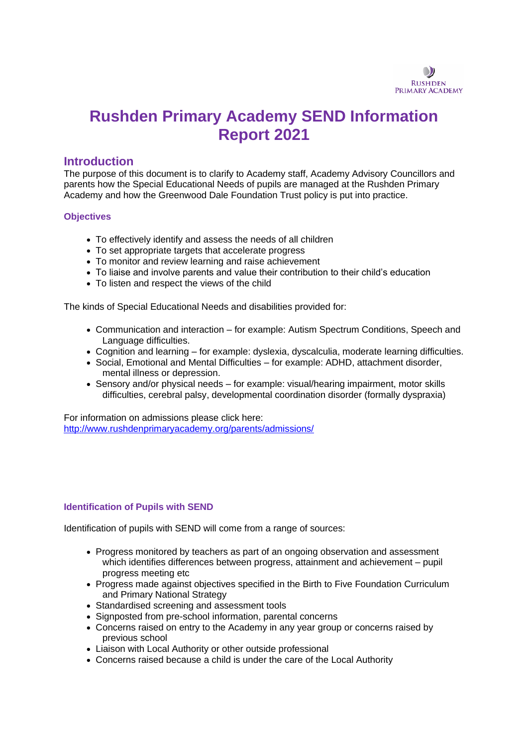

# **Rushden Primary Academy SEND Information Report 2021**

## **Introduction**

The purpose of this document is to clarify to Academy staff, Academy Advisory Councillors and parents how the Special Educational Needs of pupils are managed at the Rushden Primary Academy and how the Greenwood Dale Foundation Trust policy is put into practice.

### **Objectives**

- To effectively identify and assess the needs of all children
- To set appropriate targets that accelerate progress
- To monitor and review learning and raise achievement
- To liaise and involve parents and value their contribution to their child's education
- To listen and respect the views of the child

The kinds of Special Educational Needs and disabilities provided for:

- Communication and interaction for example: Autism Spectrum Conditions, Speech and Language difficulties.
- Cognition and learning for example: dyslexia, dyscalculia, moderate learning difficulties.
- Social, Emotional and Mental Difficulties for example: ADHD, attachment disorder, mental illness or depression.
- Sensory and/or physical needs for example: visual/hearing impairment, motor skills difficulties, cerebral palsy, developmental coordination disorder (formally dyspraxia)

For information on admissions please click here: <http://www.rushdenprimaryacademy.org/parents/admissions/>

#### **Identification of Pupils with SEND**

Identification of pupils with SEND will come from a range of sources:

- Progress monitored by teachers as part of an ongoing observation and assessment which identifies differences between progress, attainment and achievement – pupil progress meeting etc
- Progress made against objectives specified in the Birth to Five Foundation Curriculum and Primary National Strategy
- Standardised screening and assessment tools
- Signposted from pre-school information, parental concerns
- Concerns raised on entry to the Academy in any year group or concerns raised by previous school
- Liaison with Local Authority or other outside professional
- Concerns raised because a child is under the care of the Local Authority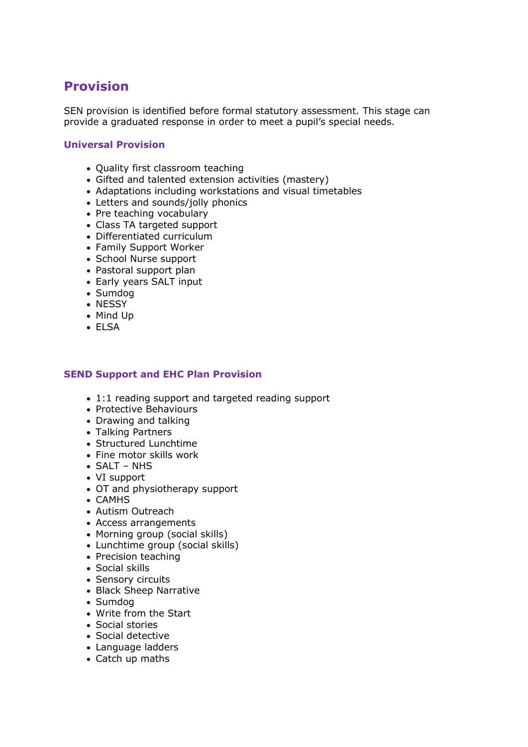## **Provision**

SEN provision is identified before formal statutory assessment. This stage can provide a graduated response in order to meet a pupil's special needs.

## **Universal Provision**

- Quality first classroom teaching
- Gifted and talented extension activities (mastery)
- Adaptations including workstations and visual timetables
- Letters and sounds/jolly phonics
- Pre teaching vocabulary
- Class TA targeted support
- Differentiated curriculum
- Family Support Worker
- School Nurse support
- Pastoral support plan
- Early years SALT input
- Sumdog
- NESSY
- Mind Up
- ELSA

## **SEND Support and EHC Plan Provision**

- 1:1 reading support and targeted reading support
- Protective Behaviours
- Drawing and talking
- Talking Partners
- Structured Lunchtime
- Fine motor skills work
- SALT NHS
- VI support
- OT and physiotherapy support
- CAMHS
- Autism Outreach
- Access arrangements
- Morning group (social skills)
- Lunchtime group (social skills)
- Precision teaching
- Social skills
- Sensory circuits
- Black Sheep Narrative
- Sumdog
- Write from the Start
- Social stories
- Social detective
- Language ladders
- Catch up maths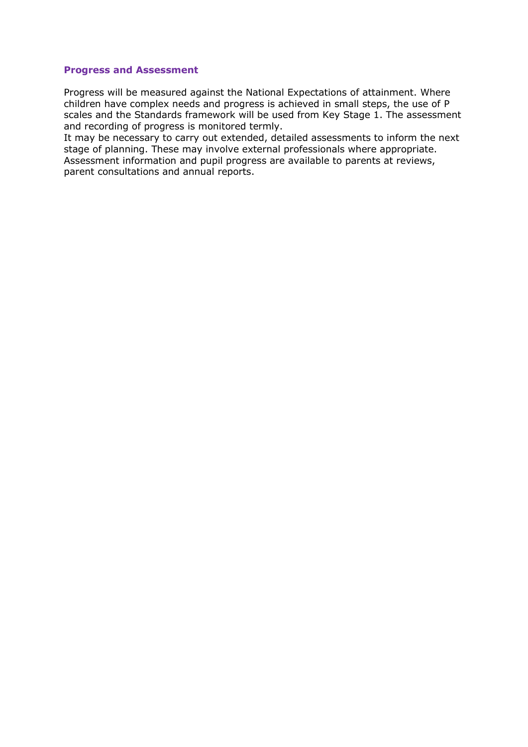#### **Progress and Assessment**

Progress will be measured against the National Expectations of attainment. Where children have complex needs and progress is achieved in small steps, the use of P scales and the Standards framework will be used from Key Stage 1. The assessment and recording of progress is monitored termly.

It may be necessary to carry out extended, detailed assessments to inform the next stage of planning. These may involve external professionals where appropriate. Assessment information and pupil progress are available to parents at reviews, parent consultations and annual reports.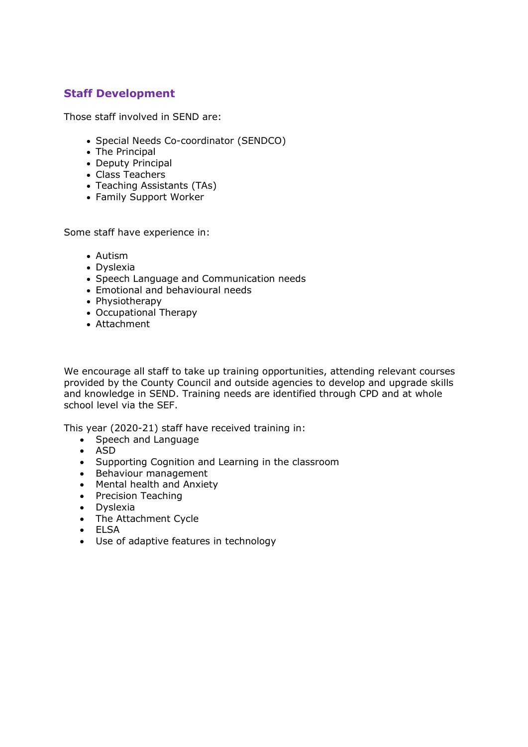## **Staff Development**

Those staff involved in SEND are:

- Special Needs Co-coordinator (SENDCO)
- The Principal
- Deputy Principal
- Class Teachers
- Teaching Assistants (TAs)
- Family Support Worker

Some staff have experience in:

- Autism
- Dyslexia
- Speech Language and Communication needs
- Emotional and behavioural needs
- Physiotherapy
- Occupational Therapy
- Attachment

We encourage all staff to take up training opportunities, attending relevant courses provided by the County Council and outside agencies to develop and upgrade skills and knowledge in SEND. Training needs are identified through CPD and at whole school level via the SEF.

This year (2020-21) staff have received training in:

- Speech and Language
- ASD
- Supporting Cognition and Learning in the classroom
- Behaviour management
- Mental health and Anxiety
- Precision Teaching
- Dyslexia
- The Attachment Cycle
- ELSA
- Use of adaptive features in technology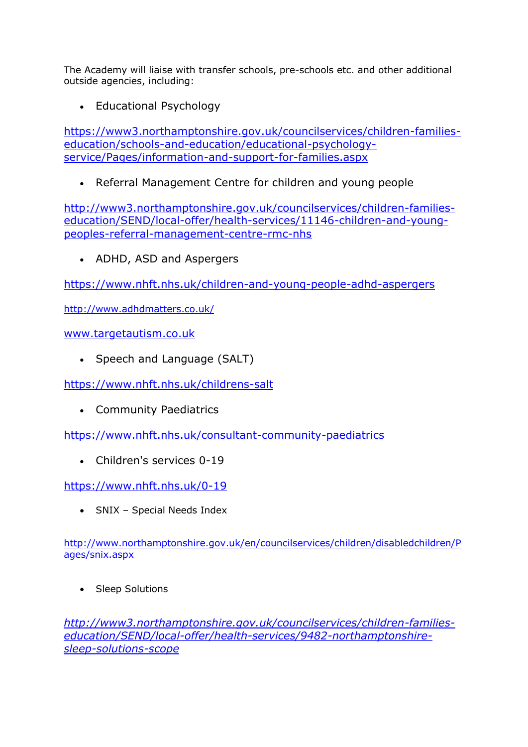The Academy will liaise with transfer schools, pre-schools etc. and other additional outside agencies, including:

• Educational Psychology

[https://www3.northamptonshire.gov.uk/councilservices/children-families](https://www3.northamptonshire.gov.uk/councilservices/children-families-education/schools-and-education/educational-psychology-service/Pages/information-and-support-for-families.aspx)[education/schools-and-education/educational-psychology](https://www3.northamptonshire.gov.uk/councilservices/children-families-education/schools-and-education/educational-psychology-service/Pages/information-and-support-for-families.aspx)[service/Pages/information-and-support-for-families.aspx](https://www3.northamptonshire.gov.uk/councilservices/children-families-education/schools-and-education/educational-psychology-service/Pages/information-and-support-for-families.aspx)

• Referral Management Centre for children and young people

[http://www3.northamptonshire.gov.uk/councilservices/children-families](http://www3.northamptonshire.gov.uk/councilservices/children-families-education/SEND/local-offer/health-services/11146-children-and-young-peoples-referral-management-centre-rmc-nhs)[education/SEND/local-offer/health-services/11146-children-and-young](http://www3.northamptonshire.gov.uk/councilservices/children-families-education/SEND/local-offer/health-services/11146-children-and-young-peoples-referral-management-centre-rmc-nhs)[peoples-referral-management-centre-rmc-nhs](http://www3.northamptonshire.gov.uk/councilservices/children-families-education/SEND/local-offer/health-services/11146-children-and-young-peoples-referral-management-centre-rmc-nhs)

• ADHD, ASD and Aspergers

<https://www.nhft.nhs.uk/children-and-young-people-adhd-aspergers>

<http://www.adhdmatters.co.uk/>

[www.targetautism.co.uk](http://www.targetautism.co.uk/)

• Speech and Language (SALT)

<https://www.nhft.nhs.uk/childrens-salt>

• Community Paediatrics

<https://www.nhft.nhs.uk/consultant-community-paediatrics>

• Children's services 0-19

<https://www.nhft.nhs.uk/0-19>

• SNIX – Special Needs Index

[http://www.northamptonshire.gov.uk/en/councilservices/children/disabledchildren/P](http://www.northamptonshire.gov.uk/en/councilservices/children/disabledchildren/Pages/snix.aspx) [ages/snix.aspx](http://www.northamptonshire.gov.uk/en/councilservices/children/disabledchildren/Pages/snix.aspx)

• Sleep Solutions

*[http://www3.northamptonshire.gov.uk/councilservices/children-families](http://www3.northamptonshire.gov.uk/councilservices/children-families-education/SEND/local-offer/health-services/9482-northamptonshire-sleep-solutions-scope)[education/SEND/local-offer/health-services/9482-northamptonshire](http://www3.northamptonshire.gov.uk/councilservices/children-families-education/SEND/local-offer/health-services/9482-northamptonshire-sleep-solutions-scope)[sleep-solutions-scope](http://www3.northamptonshire.gov.uk/councilservices/children-families-education/SEND/local-offer/health-services/9482-northamptonshire-sleep-solutions-scope)*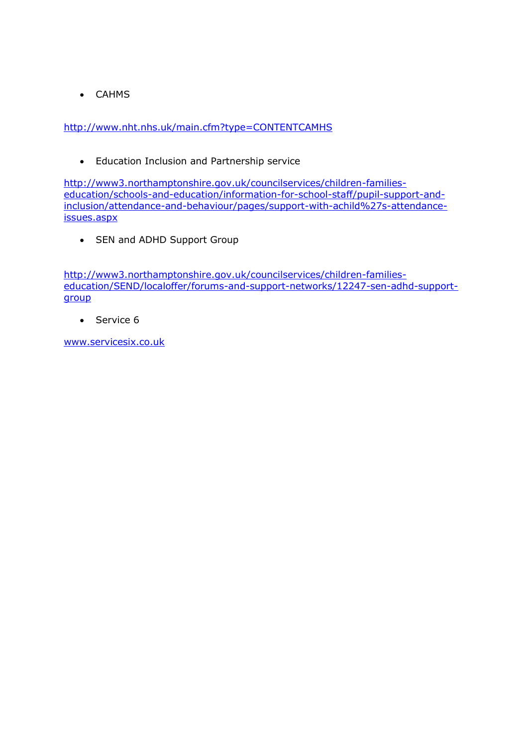• CAHMS

<http://www.nht.nhs.uk/main.cfm?type=CONTENTCAMHS>

• Education Inclusion and Partnership service

[http://www3.northamptonshire.gov.uk/councilservices/children-families](http://www3.northamptonshire.gov.uk/councilservices/children-families-education/schools-and-education/information-for-school-staff/pupil-support-and-inclusion/attendance-and-behaviour/pages/support-with-achild%27s-attendance-issues.aspx)[education/schools-and-education/information-for-school-staff/pupil-support-and](http://www3.northamptonshire.gov.uk/councilservices/children-families-education/schools-and-education/information-for-school-staff/pupil-support-and-inclusion/attendance-and-behaviour/pages/support-with-achild%27s-attendance-issues.aspx)[inclusion/attendance-and-behaviour/pages/support-with-achild%27s-attendance](http://www3.northamptonshire.gov.uk/councilservices/children-families-education/schools-and-education/information-for-school-staff/pupil-support-and-inclusion/attendance-and-behaviour/pages/support-with-achild%27s-attendance-issues.aspx)[issues.aspx](http://www3.northamptonshire.gov.uk/councilservices/children-families-education/schools-and-education/information-for-school-staff/pupil-support-and-inclusion/attendance-and-behaviour/pages/support-with-achild%27s-attendance-issues.aspx)

• SEN and ADHD Support Group

[http://www3.northamptonshire.gov.uk/councilservices/children-families](http://www3.northamptonshire.gov.uk/councilservices/children-families-education/SEND/localoffer/forums-and-support-networks/12247-sen-adhd-support-group)[education/SEND/localoffer/forums-and-support-networks/12247-sen-adhd-support](http://www3.northamptonshire.gov.uk/councilservices/children-families-education/SEND/localoffer/forums-and-support-networks/12247-sen-adhd-support-group)[group](http://www3.northamptonshire.gov.uk/councilservices/children-families-education/SEND/localoffer/forums-and-support-networks/12247-sen-adhd-support-group)

• Service 6

[www.servicesix.co.uk](http://www.servicesix.co.uk/)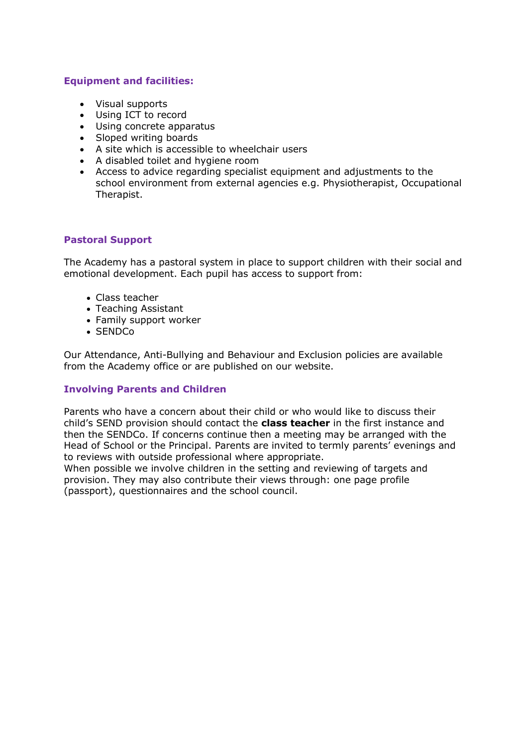## **Equipment and facilities:**

- Visual supports
- Using ICT to record
- Using concrete apparatus
- Sloped writing boards
- A site which is accessible to wheelchair users
- A disabled toilet and hygiene room
- Access to advice regarding specialist equipment and adjustments to the school environment from external agencies e.g. Physiotherapist, Occupational Therapist.

## **Pastoral Support**

The Academy has a pastoral system in place to support children with their social and emotional development. Each pupil has access to support from:

- Class teacher
- Teaching Assistant
- Family support worker
- SENDCo

Our Attendance, Anti-Bullying and Behaviour and Exclusion policies are available from the Academy office or are published on our website.

## **Involving Parents and Children**

Parents who have a concern about their child or who would like to discuss their child's SEND provision should contact the **class teacher** in the first instance and then the SENDCo. If concerns continue then a meeting may be arranged with the Head of School or the Principal. Parents are invited to termly parents' evenings and to reviews with outside professional where appropriate.

When possible we involve children in the setting and reviewing of targets and provision. They may also contribute their views through: one page profile (passport), questionnaires and the school council.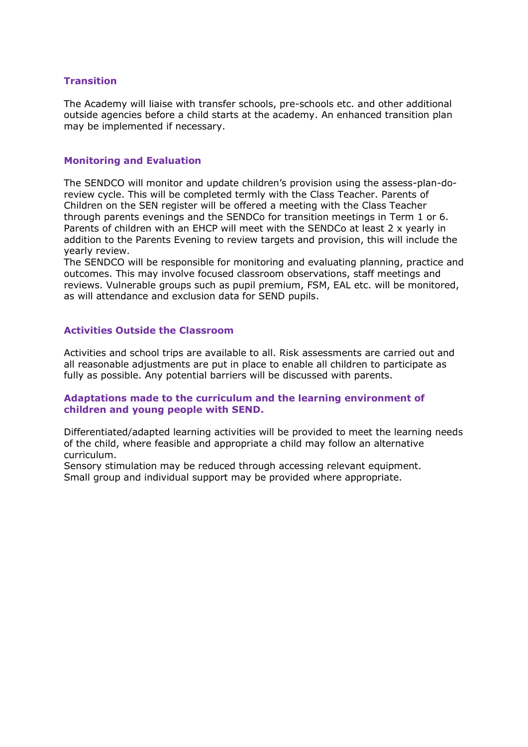## **Transition**

The Academy will liaise with transfer schools, pre-schools etc. and other additional outside agencies before a child starts at the academy. An enhanced transition plan may be implemented if necessary.

#### **Monitoring and Evaluation**

The SENDCO will monitor and update children's provision using the assess-plan-doreview cycle. This will be completed termly with the Class Teacher. Parents of Children on the SEN register will be offered a meeting with the Class Teacher through parents evenings and the SENDCo for transition meetings in Term 1 or 6. Parents of children with an EHCP will meet with the SENDCo at least 2 x yearly in addition to the Parents Evening to review targets and provision, this will include the yearly review.

The SENDCO will be responsible for monitoring and evaluating planning, practice and outcomes. This may involve focused classroom observations, staff meetings and reviews. Vulnerable groups such as pupil premium, FSM, EAL etc. will be monitored, as will attendance and exclusion data for SEND pupils.

## **Activities Outside the Classroom**

Activities and school trips are available to all. Risk assessments are carried out and all reasonable adjustments are put in place to enable all children to participate as fully as possible. Any potential barriers will be discussed with parents.

### **Adaptations made to the curriculum and the learning environment of children and young people with SEND.**

Differentiated/adapted learning activities will be provided to meet the learning needs of the child, where feasible and appropriate a child may follow an alternative curriculum.

Sensory stimulation may be reduced through accessing relevant equipment. Small group and individual support may be provided where appropriate.